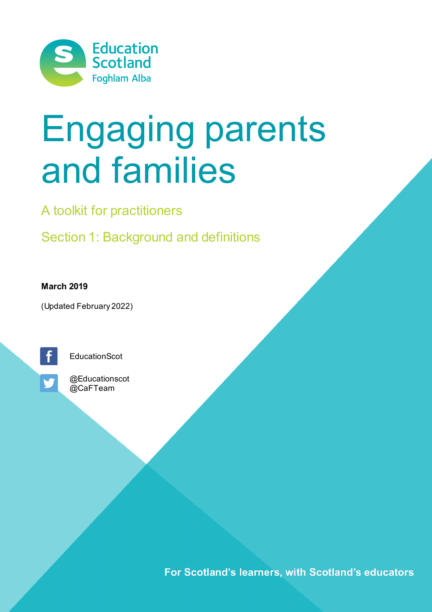

# Engaging parents and families

A toolkit for practitioners

Section 1: Background and definitions

**March 2019**

(Updated February 2022)



**EducationScot** 



@Educationscot @CaFTeam

For Scotland's learners, with Scotland's educators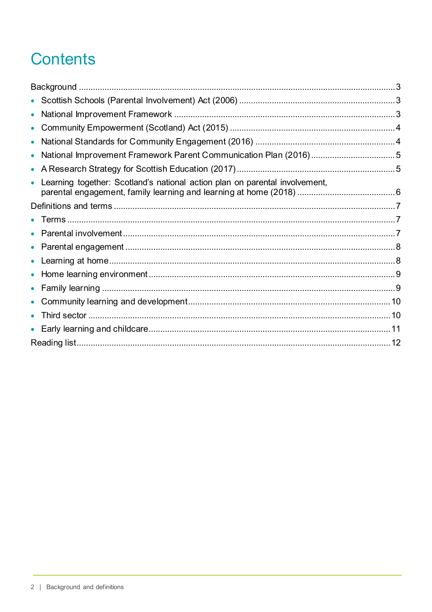# **Contents**

| $\bullet$                                                                                |  |
|------------------------------------------------------------------------------------------|--|
| $\bullet$                                                                                |  |
|                                                                                          |  |
|                                                                                          |  |
|                                                                                          |  |
| Learning together: Scotland's national action plan on parental involvement,<br>$\bullet$ |  |
|                                                                                          |  |
|                                                                                          |  |
|                                                                                          |  |
|                                                                                          |  |
| $\bullet$                                                                                |  |
| $\bullet$                                                                                |  |
|                                                                                          |  |
|                                                                                          |  |
|                                                                                          |  |
| $\bullet$                                                                                |  |
|                                                                                          |  |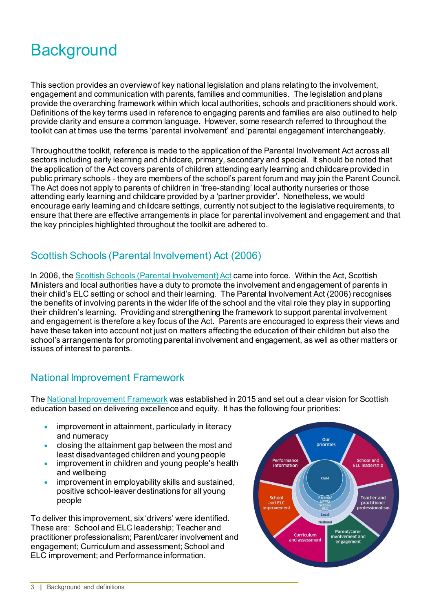# <span id="page-2-0"></span>**Background**

This section provides an overview of key national legislation and plans relating to the involvement, engagement and communication with parents, families and communities. The legislation and plans provide the overarching framework within which local authorities, schools and practitioners should work. Definitions of the key terms used in reference to engaging parents and families are also outlined to help provide clarity and ensure a common language. However, some research referred to throughout the toolkit can at times use the terms 'parental involvement' and 'parental engagement' interchangeably.

Throughout the toolkit, reference is made to the application of the Parental Involvement Act across all sectors including early learning and childcare, primary, secondary and special. It should be noted that the application of the Act covers parents of children attending early learning and childcare provided in public primary schools - they are members of the school's parent forum and may join the Parent Council. The Act does not apply to parents of children in 'free-standing' local authority nurseries or those attending early learning and childcare provided by a 'partner provider'. Nonetheless, we would encourage early learning and childcare settings, currently not subject to the legislative requirements, to ensure that there are effective arrangements in place for parental involvement and engagement and that the key principles highlighted throughout the toolkit are adhered to.

# <span id="page-2-1"></span>Scottish Schools (Parental Involvement) Act (2006)

In 2006, th[e Scottish Schools \(Parental Involvement\) Act](http://www.legislation.gov.uk/asp/2006/8/contents) came into force. Within the Act, Scottish Ministers and local authorities have a duty to promote the involvement and engagement of parents in their child's ELC setting or school and their learning. The Parental Involvement Act (2006) recognises the benefits of involving parents in the wider life of the school and the vital role they play in supporting their children's learning. Providing and strengthening the framework to support parental involvement and engagement is therefore a key focus of the Act. Parents are encouraged to express their views and have these taken into account not just on matters affecting the education of their children but also the school's arrangements for promoting parental involvement and engagement, as well as other matters or issues of interest to parents.

# <span id="page-2-2"></span>National Improvement Framework

Th[e National Improvement Framework](https://www.gov.scot/policies/schools/national-improvement-framework/) was established in 2015 and set out a clear vision for Scottish education based on delivering excellence and equity. It has the following four priorities:

- improvement in attainment, particularly in literacy and numeracy
- closing the attainment gap between the most and least disadvantaged children and young people
- improvement in children and young people's health and wellbeing
- improvement in employability skills and sustained, positive school-leaver destinations for all young people

To deliver this improvement, six 'drivers' were identified. These are: School and ELC leadership; Teacher and practitioner professionalism; Parent/carer involvement and engagement: Curriculum and assessment: School and ELC improvement; and Performance information.

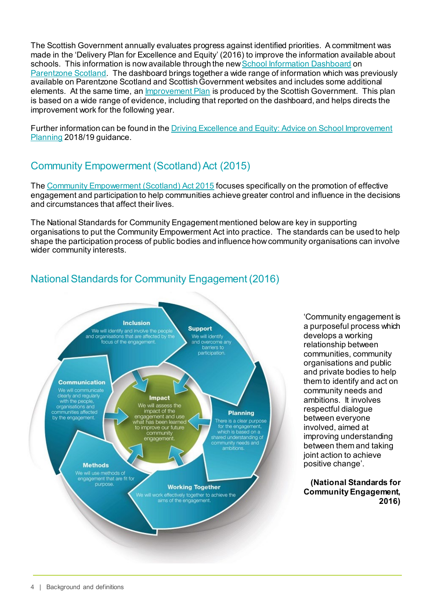The Scottish Government annually evaluates progress against identified priorities. A commitment was made in the 'Delivery Plan for Excellence and Equity' (2016) to improve the information available about schools. This information is now available through the ne[w School Information Dashboard](https://education.gov.scot/parentzone/my-school/School%20information%20dashboard) on [Parentzone Scotland.](https://education.gov.scot/parentzone) The dashboard brings together a wide range of information which was previously available on Parentzone Scotland and Scottish Government websites and includes some additional elements. At the same time, an [Improvement Plan](https://beta.gov.scot/policies/schools/national-improvement-framework/) is produced by the Scottish Government. This plan is based on a wide range of evidence, including that reported on the dashboard, and helps directs the improvement work for the following year.

Further information can be found in th[e Driving Excellence and Equity: Advice on School Improvement](https://education.gov.scot/improvement/practice-exemplars/nifschoolimprovement)  [Planning](https://education.gov.scot/improvement/practice-exemplars/nifschoolimprovement) 2018/19 guidance.

# <span id="page-3-0"></span>Community Empowerment (Scotland) Act (2015)

Th[e Community Empowerment \(Scotland\) Act 2015](http://www.legislation.gov.uk/asp/2015/6/pdfs/asp_20150006_en.pdf) focuses specifically on the promotion of effective engagement and participation to help communities achieve greater control and influence in the decisions and circumstances that affect their lives.

The National Standards for Community Engagement mentioned beloware key in supporting organisations to put the Community Empowerment Act into practice. The standards can be used to help shape the participation process of public bodies and influence how community organisations can involve wider community interests.

# <span id="page-3-1"></span>National Standards for Community Engagement (2016)



'Community engagement is a purposeful process which develops a working relationship between communities, community organisations and public and private bodies to help them to identify and act on community needs and ambitions. It involves respectful dialogue between everyone involved, aimed at improving understanding between them and taking joint action to achieve positive change'.

**(National Standards for Community Engagement, 2016)**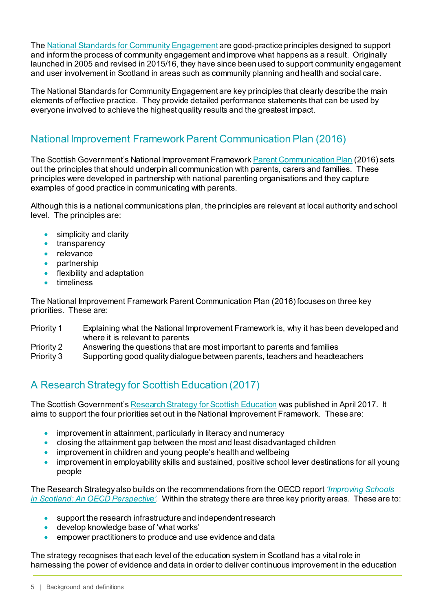Th[e National Standards for Community Engagement](http://www.voicescotland.org.uk/) are good-practice principles designed to support and inform the process of community engagement and improve what happens as a result. Originally launched in 2005 and revised in 2015/16, they have since been used to support community engagement and user involvement in Scotland in areas such as community planning and health and social care.

The National Standards for Community Engagement are key principles that clearly describe the main elements of effective practice. They provide detailed performance statements that can be used by everyone involved to achieve the highest quality results and the greatest impact.

# <span id="page-4-0"></span>National Improvement Framework Parent Communication Plan (2016)

The Scottish Government's National Improvement Framework [Parent Communication Plan](https://www.gov.scot/publications/national-improvement-framework-parent-communication-plan/pages/1/) (2016) sets out the principles that should underpin all communication with parents, carers and families. These principles were developed in partnership with national parenting organisations and they capture examples of good practice in communicating with parents.

Although this is a national communications plan, the principles are relevant at local authority and school level. The principles are:

- simplicity and clarity
- transparency
- relevance
- partnership
- flexibility and adaptation
- timeliness

The National Improvement Framework Parent Communication Plan (2016) focuses on three key priorities. These are:

- Priority 1 Explaining what the National Improvement Framework is, why it has been developed and where it is relevant to parents
- Priority 2 Answering the questions that are most important to parents and families
- Priority 3 Supporting good quality dialogue between parents, teachers and headteachers

# <span id="page-4-1"></span>A Research Strategy for Scottish Education (2017)

The Scottish Government'[s Research Strategy for Scottish Education](https://www.gov.scot/publications/research-strategy-scottish-education/) was published in April 2017. It aims to support the four priorities set out in the National Improvement Framework. These are:

- improvement in attainment, particularly in literacy and numeracy
- closing the attainment gap between the most and least disadvantaged children
- improvement in children and young people's health and wellbeing
- improvement in employability skills and sustained, positive school lever destinations for all young people

The Research Strategy also builds on the recommendations from the OECD report *['Improving Schools](https://www.oecd.org/education/school/Improving-Schools-in-Scotland-An-OECD-Perspective.pdf)  [in Scotland: An OECD Perspective'](https://www.oecd.org/education/school/Improving-Schools-in-Scotland-An-OECD-Perspective.pdf)*. Within the strategy there are three key priority areas. These are to:

- support the research infrastructure and independent research<br>• develop knowledge base of 'what works'
- develop knowledge base of 'what works'
- empower practitioners to produce and use evidence and data

The strategy recognises that each level of the education system in Scotland has a vital role in harnessing the power of evidence and data in order to deliver continuous improvement in the education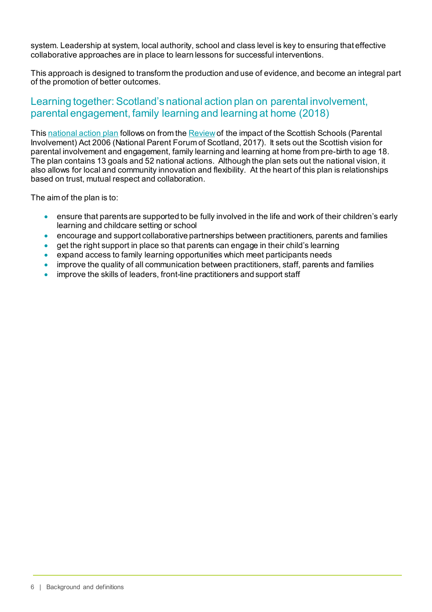system. Leadership at system, local authority, school and class level is key to ensuring that effective collaborative approaches are in place to learn lessons for successful interventions.

This approach is designed to transform the production and use of evidence, and become an integral part of the promotion of better outcomes.

## <span id="page-5-0"></span>Learning together: Scotland's national action plan on parental involvement, parental engagement, family learning and learning at home (2018)

This [national action plan](https://beta.gov.scot/publications/learning-together-scotlands-national-action-plan-parental-involvement-parental-engagement/) follows on from th[e Review](https://www.npfs.org.uk/downloads/review-of-the-impact-of-the-2009-parental-involvement-act/) of the impact of the Scottish Schools (Parental Involvement) Act 2006 (National Parent Forum of Scotland, 2017). It sets out the Scottish vision for parental involvement and engagement, family learning and learning at home from pre-birth to age 18. The plan contains 13 goals and 52 national actions. Although the plan sets out the national vision, it also allows for local and community innovation and flexibility. At the heart of this plan is relationships based on trust, mutual respect and collaboration.

The aim of the plan is to:

- ensure that parents are supported to be fully involved in the life and work of their children's early learning and childcare setting or school
- encourage and support collaborative partnerships between practitioners, parents and families
- get the right support in place so that parents can engage in their child's learning
- expand access to family learning opportunities which meet participants needs
- improve the quality of all communication between practitioners, staff, parents and families
- improve the skills of leaders, front-line practitioners and support staff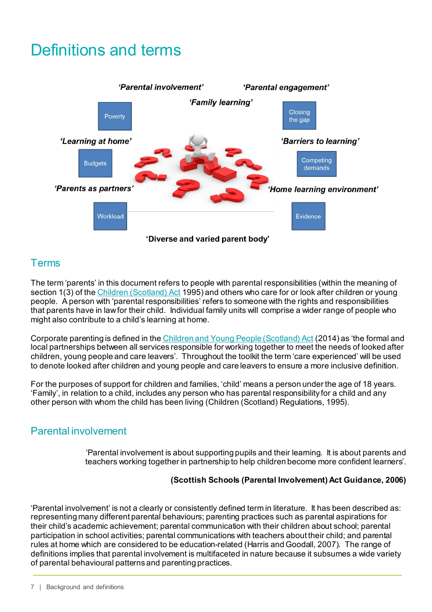# <span id="page-6-0"></span>Definitions and terms



# <span id="page-6-1"></span>Terms

The term 'parents' in this document refers to people with parental responsibilities (within the meaning of section 1(3) of th[e Children \(Scotland\) Act](http://www.legislation.gov.uk/ukpga/1995/36/contents) 1995) and others who care for or look after children or young people. A person with 'parental responsibilities' refers to someone with the rights and responsibilities that parents have in law for their child. Individual family units will comprise a wider range of people who might also contribute to a child's learning at home.

Corporate parenting is defined in th[e Children and Young People \(Scotland\) Act](http://www.legislation.gov.uk/asp/2014/8/pdfs/asp_20140008_en.pdf) (2014) as 'the formal and local partnerships between all services responsible for working together to meet the needs of looked after children, young people and care leavers'. Throughout the toolkit the term 'care experienced' will be used to denote looked after children and young people and care leavers to ensure a more inclusive definition.

For the purposes of support for children and families, 'child' means a person under the age of 18 years. 'Family', in relation to a child, includes any person who has parental responsibility for a child and any other person with whom the child has been living (Children (Scotland) Regulations, 1995).

# <span id="page-6-2"></span>Parental involvement

'Parental involvement is about supporting pupils and their learning. It is about parents and teachers working together in partnership to help children become more confident learners'.

#### **(Scottish Schools (Parental Involvement) Act Guidance, 2006)**

'Parental involvement' is not a clearly or consistently defined term in literature. It has been described as: representing many different parental behaviours; parenting practices such as parental aspirations for their child's academic achievement; parental communication with their children about school; parental participation in school activities; parental communications with teachers about their child; and parental rules at home which are considered to be education-related (Harris and Goodall, 2007). The range of definitions implies that parental involvement is multifaceted in nature because it subsumes a wide variety of parental behavioural patterns and parenting practices.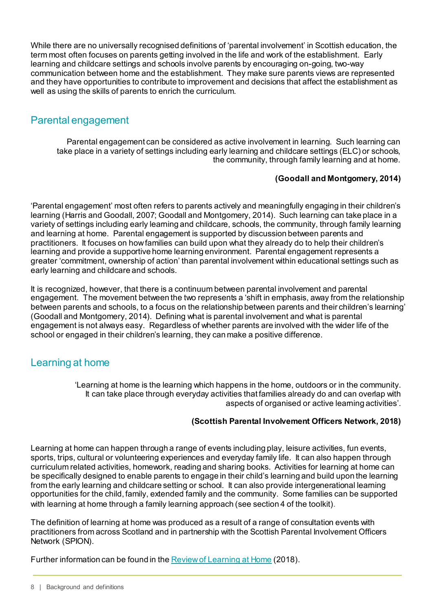While there are no universally recognised definitions of 'parental involvement' in Scottish education, the term most often focuses on parents getting involved in the life and work of the establishment. Early learning and childcare settings and schools involve parents by encouraging on-going, two-way communication between home and the establishment. They make sure parents views are represented and they have opportunities to contribute to improvement and decisions that affect the establishment as well as using the skills of parents to enrich the curriculum.

## <span id="page-7-0"></span>Parental engagement

Parental engagement can be considered as active involvement in learning. Such learning can take place in a variety of settings including early learning and childcare settings (ELC) or schools, the community, through family learning and at home.

#### **(Goodall and Montgomery, 2014)**

'Parental engagement' most often refers to parents actively and meaningfully engaging in their children's learning (Harris and Goodall, 2007; Goodall and Montgomery, 2014). Such learning can take place in a variety of settings including early learning and childcare, schools, the community, through family learning and learning at home. Parental engagement is supported by discussion between parents and practitioners. It focuses on how families can build upon what they already do to help their children's learning and provide a supportive home learning environment. Parental engagement represents a greater 'commitment, ownership of action' than parental involvement within educational settings such as early learning and childcare and schools.

It is recognized, however, that there is a continuum between parental involvement and parental engagement. The movement between the two represents a 'shift in emphasis, away from the relationship between parents and schools, to a focus on the relationship between parents and their children's learning' (Goodall and Montgomery, 2014). Defining what is parental involvement and what is parental engagement is not always easy. Regardless of whether parents are involved with the wider life of the school or engaged in their children's learning, they can make a positive difference.

## <span id="page-7-1"></span>Learning at home

'Learning at home is the learning which happens in the home, outdoors or in the community. It can take place through everyday activities that families already do and can overlap with aspects of organised or active learning activities'.

#### **(Scottish Parental Involvement Officers Network, 2018)**

Learning at home can happen through a range of events including play, leisure activities, fun events, sports, trips, cultural or volunteering experiences and everyday family life. It can also happen through curriculum related activities, homework, reading and sharing books. Activities for learning at home can be specifically designed to enable parents to engage in their child's learning and build upon the learning from the early learning and childcare setting or school. It can also provide intergenerational learning opportunities for the child, family, extended family and the community. Some families can be supported with learning at home through a family learning approach (see section 4 of the toolkit).

The definition of learning at home was produced as a result of a range of consultation events with practitioners from across Scotland and in partnership with the Scottish Parental Involvement Officers Network (SPION).

Further information can be found in th[e Review of Learning at Home](https://education.gov.scot/improvement/research/Review%20of%20learning%20at%20home) (2018).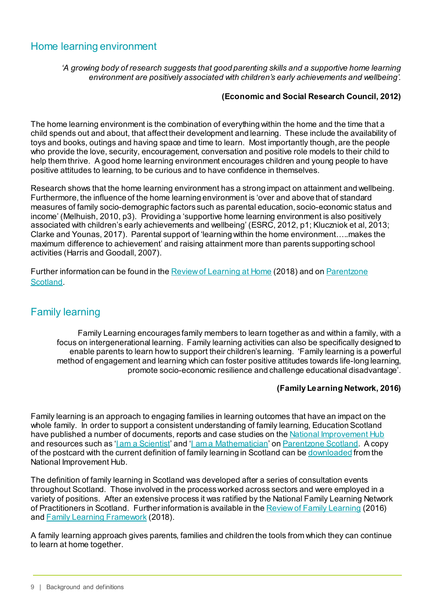# <span id="page-8-0"></span>Home learning environment

*'A growing body of research suggests that good parenting skills and a supportive home learning environment are positively associated with children's early achievements and wellbeing'.*

#### **(Economic and Social Research Council, 2012)**

The home learning environment is the combination of everything within the home and the time that a child spends out and about, that affect their development and learning. These include the availability of toys and books, outings and having space and time to learn. Most importantly though, are the people who provide the love, security, encouragement, conversation and positive role models to their child to help them thrive. A good home learning environment encourages children and young people to have positive attitudes to learning, to be curious and to have confidence in themselves.

Research shows that the home learning environment has a strong impact on attainment and wellbeing. Furthermore, the influence of the home learning environment is 'over and above that of standard measures of family socio-demographic factors such as parental education, socio-economic status and income' (Melhuish, 2010, p3). Providing a 'supportive home learning environment is also positively associated with children's early achievements and wellbeing' (ESRC, 2012, p1; Kluczniok et al, 2013; Clarke and Younas, 2017). Parental support of 'learning within the home environment…..makes the maximum difference to achievement' and raising attainment more than parents supporting school activities (Harris and Goodall, 2007).

Further information can be found in th[e Review of Learning at Home](https://education.gov.scot/improvement/research/Review%20of%20learning%20at%20home) (2018) and o[n Parentzone](https://education.gov.scot/parentzone/learning-at-home/Home%20learning%20environment)  [Scotland.](https://education.gov.scot/parentzone/learning-at-home/Home%20learning%20environment)

## <span id="page-8-1"></span>Family learning

Family Learning encourages family members to learn together as and within a family, with a focus on intergenerational learning. Family learning activities can also be specifically designed to enable parents to learn how to support their children's learning. 'Family learning is a powerful method of engagement and learning which can foster positive attitudes towards life-long learning, promote socio-economic resilience and challenge educational disadvantage'.

#### **(Family Learning Network, 2016)**

Family learning is an approach to engaging families in learning outcomes that have an impact on the whole family. In order to support a consistent understanding of family learning, Education Scotland have published a number of documents, reports and case studies on th[e National Improvement Hub](https://education.gov.scot/improvement) and resources such as 'Lam a Scientist' and 'L[am a Mathematician'](https://education.gov.scot/parentzone/learning-at-home/supporting-numeracy/Introduction%20to%20supporting%20numeracy) o[n Parentzone Scotland.](https://education.gov.scot/parentzone/) A copy of the postcard with the current definition of family learning in Scotland can b[e downloaded](https://education.gov.scot/improvement/research/what-is-family-learning/) from the National Improvement Hub.

The definition of family learning in Scotland was developed after a series of consultation events throughout Scotland. Those involved in the process worked across sectors and were employed in a variety of positions. After an extensive process it was ratified by the National Family Learning Network of Practitioners in Scotland. Further information is available in th[e Review of Family Learning](https://education.gov.scot/improvement/research/review-of-family-learning/) (2016) and [Family Learning Framework](https://education.gov.scot/improvement/practice-exemplars/family-learning-framework/) (2018).

A family learning approach gives parents, families and children the tools from which they can continue to learn at home together.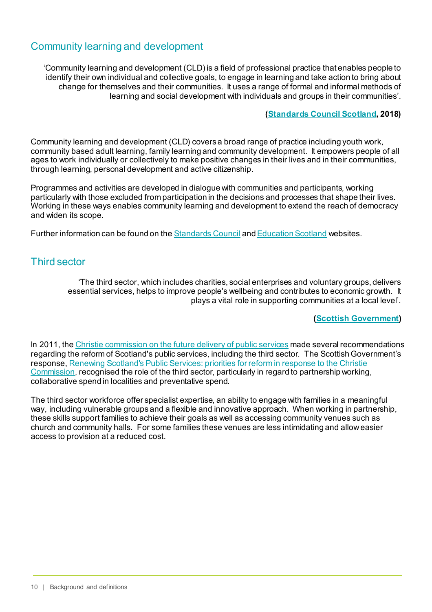# <span id="page-9-0"></span>Community learning and development

'Community learning and development (CLD) is a field of professional practice that enables people to identify their own individual and collective goals, to engage in learning and take action to bring about change for themselves and their communities. It uses a range of formal and informal methods of learning and social development with individuals and groups in their communities'.

#### **([Standards Council Scotland,](http://cldstandardscouncil.org.uk/about-cld/what-is-community-learning-and-development-cld/) 2018)**

Community learning and development (CLD) covers a broad range of practice including youth work, community based adult learning, family learning and community development. It empowers people of all ages to work individually or collectively to make positive changes in their lives and in their communities, through learning, personal development and active citizenship.

Programmes and activities are developed in dialogue with communities and participants, working particularly with those excluded from participation in the decisions and processes that shape their lives. Working in these ways enables community learning and development to extend the reach of democracy and widen its scope.

Further information can be found on th[e Standards Council](http://cldstandardscouncil.org.uk/about-cld/what-is-community-learning-and-development-cld/) an[d Education Scotland](https://education.gov.scot/scottish-education-system/cld/About%20Community%20Learning%20and%20Development) websites.

## <span id="page-9-1"></span>Third sector

'The third sector, which includes charities, social enterprises and voluntary groups, delivers essential services, helps to improve people's wellbeing and contributes to economic growth. It plays a vital role in supporting communities at a local level'.

#### **([Scottish Government\)](https://beta.gov.scot/policies/third-sector/)**

In 2011, th[e Christie commission on the future delivery of public services](https://www.gov.scot/publications/commission-future-delivery-public-services/) made several recommendations regarding the reform of Scotland's public services, including the third sector. The Scottish Government's response[, Renewing Scotland's Public Services: priorities for reform in response to the Christie](https://www.gov.scot/publications/renewing-scotlands-public-services-priorities-reform-response-christie-commission/)  [Commission,](https://www.gov.scot/publications/renewing-scotlands-public-services-priorities-reform-response-christie-commission/) recognised the role of the third sector, particularly in regard to partnership working, collaborative spend in localities and preventative spend.

The third sector workforce offer specialist expertise, an ability to engage with families in a meaningful way, including vulnerable groups and a flexible and innovative approach. When working in partnership, these skills support families to achieve their goals as well as accessing community venues such as church and community halls. For some families these venues are less intimidating and allow easier access to provision at a reduced cost.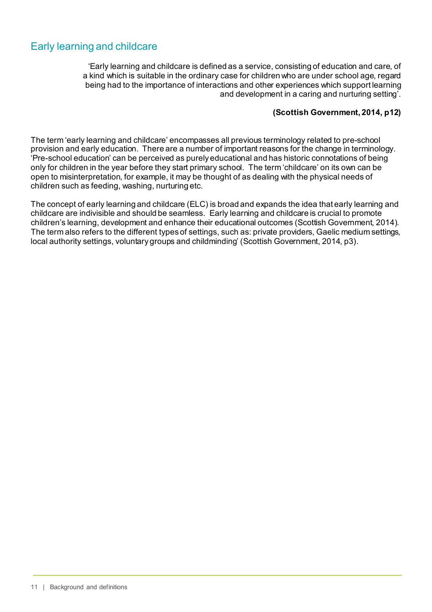# <span id="page-10-0"></span>Early learning and childcare

'Early learning and childcare is defined as a service, consisting of education and care, of a kind which is suitable in the ordinary case for children who are under school age, regard being had to the importance of interactions and other experiences which support learning and development in a caring and nurturing setting'.

#### **(Scottish Government, 2014, p12)**

The term 'early learning and childcare' encompasses all previous terminology related to pre-school provision and early education. There are a number of important reasons for the change in terminology. 'Pre-school education' can be perceived as purely educational and has historic connotations of being only for children in the year before they start primary school. The term 'childcare' on its own can be open to misinterpretation, for example, it may be thought of as dealing with the physical needs of children such as feeding, washing, nurturing etc.

The concept of early learning and childcare (ELC) is broad and expands the idea that early learning and childcare are indivisible and should be seamless. Early learning and childcare is crucial to promote children's learning, development and enhance their educational outcomes (Scottish Government, 2014). The term also refers to the different types of settings, such as: private providers, Gaelic medium settings, local authority settings, voluntary groups and childminding' (Scottish Government, 2014, p3).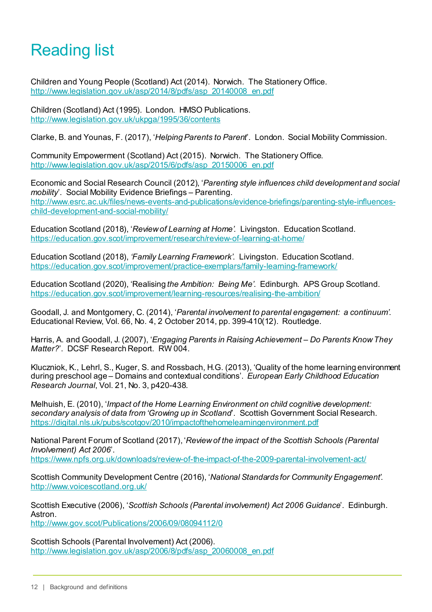# <span id="page-11-0"></span>Reading list

Children and Young People (Scotland) Act (2014). Norwich. The Stationery Office. [http://www.legislation.gov.uk/asp/2014/8/pdfs/asp\\_20140008\\_en.pdf](http://www.legislation.gov.uk/asp/2014/8/pdfs/asp_20140008_en.pdf)

Children (Scotland) Act (1995). London. HMSO Publications. <http://www.legislation.gov.uk/ukpga/1995/36/contents>

Clarke, B. and Younas, F. (2017), '*Helping Parents to Parent*'. London. Social Mobility Commission.

Community Empowerment (Scotland) Act (2015). Norwich. The Stationery Office. [http://www.legislation.gov.uk/asp/2015/6/pdfs/asp\\_20150006\\_en.pdf](http://www.legislation.gov.uk/asp/2015/6/pdfs/asp_20150006_en.pdf)

Economic and Social Research Council (2012), '*Parenting style influences child development and social mobility*'. Social Mobility Evidence Briefings – Parenting. [http://www.esrc.ac.uk/files/news-events-and-publications/evidence-briefings/parenting-style-influences](http://www.esrc.ac.uk/files/news-events-and-publications/evidence-briefings/parenting-style-influences-child-development-and-social-mobility/)[child-development-and-social-mobility/](http://www.esrc.ac.uk/files/news-events-and-publications/evidence-briefings/parenting-style-influences-child-development-and-social-mobility/)

Education Scotland (2018), '*Review of Learning at Home'.* Livingston. Education Scotland. <https://education.gov.scot/improvement/research/review-of-learning-at-home/>

Education Scotland (2018), *'Family Learning Framework'*. Livingston. Education Scotland. <https://education.gov.scot/improvement/practice-exemplars/family-learning-framework/>

Education Scotland (2020), 'Realising *the Ambition: Being Me'*. Edinburgh. APS Group Scotland. <https://education.gov.scot/improvement/learning-resources/realising-the-ambition/>

Goodall, J. and Montgomery, C. (2014), '*Parental involvement to parental engagement: a continuum'*. Educational Review, Vol. 66, No. 4, 2 October 2014, pp. 399-410(12). Routledge.

Harris, A. and Goodall, J. (2007), '*Engaging Parents in Raising Achievement – Do Parents Know They Matter?*'. DCSF Research Report. RW 004.

Kluczniok, K., Lehrl, S., Kuger, S. and Rossbach, H.G. (2013), 'Quality of the home learning environment during preschool age – Domains and contextual conditions'. *European Early Childhood Education Research Journal*, Vol. 21, No. 3, p420-438.

Melhuish, E. (2010), '*Impact of the Home Learning Environment on child cognitive development: secondary analysis of data from 'Growing up in Scotland*'. Scottish Government Social Research. <https://digital.nls.uk/pubs/scotgov/2010/impactofthehomelearningenvironment.pdf>

National Parent Forum of Scotland (2017), '*Review of the impact of the Scottish Schools (Parental Involvement) Act 2006*'.

<https://www.npfs.org.uk/downloads/review-of-the-impact-of-the-2009-parental-involvement-act/>

Scottish Community Development Centre (2016), '*National Standards for Community Engagement'*. <http://www.voicescotland.org.uk/>

Scottish Executive (2006), '*Scottish Schools (Parental involvement) Act 2006 Guidance*'. Edinburgh. Astron.

<http://www.gov.scot/Publications/2006/09/08094112/0>

Scottish Schools (Parental Involvement) Act (2006). [http://www.legislation.gov.uk/asp/2006/8/pdfs/asp\\_20060008\\_en.pdf](http://www.legislation.gov.uk/asp/2006/8/pdfs/asp_20060008_en.pdf)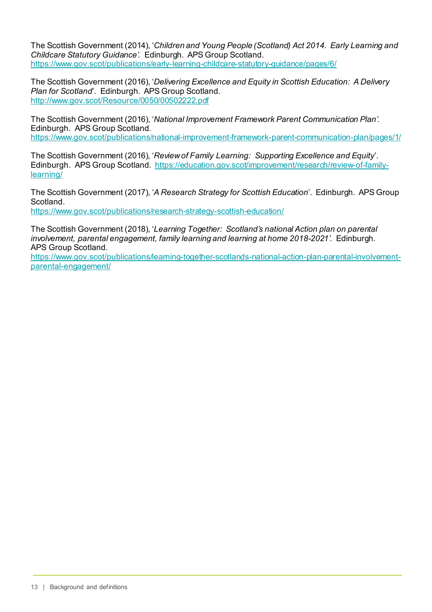The Scottish Government (2014), '*Children and Young People (Scotland) Act 2014. Early Learning and Childcare Statutory Guidance'.* Edinburgh. APS Group Scotland. <https://www.gov.scot/publications/early-learning-childcare-statutory-guidance/pages/6/>

The Scottish Government (2016), '*Delivering Excellence and Equity in Scottish Education: A Delivery Plan for Scotland*'. Edinburgh. APS Group Scotland. <http://www.gov.scot/Resource/0050/00502222.pdf>

The Scottish Government (2016), '*National Improvement Framework Parent Communication Plan'*. Edinburgh. APS Group Scotland. <https://www.gov.scot/publications/national-improvement-framework-parent-communication-plan/pages/1/>

The Scottish Government (2016), '*Review of Family Learning: Supporting Excellence and Equity*'. Edinburgh. APS Group Scotland. [https://education.gov.scot/improvement/research/review-of-family](https://education.gov.scot/improvement/research/review-of-family-learning/)[learning/](https://education.gov.scot/improvement/research/review-of-family-learning/)

The Scottish Government (2017), '*A Research Strategy for Scottish Education*'. Edinburgh. APS Group Scotland. <https://www.gov.scot/publications/research-strategy-scottish-education/>

The Scottish Government (2018), '*Learning Together: Scotland's national Action plan on parental involvement, parental engagement, family learning and learning at home 2018-2021'*. Edinburgh. APS Group Scotland.

[https://www.gov.scot/publications/learning-together-scotlands-national-action-plan-parental-involvement](https://www.gov.scot/publications/learning-together-scotlands-national-action-plan-parental-involvement-parental-engagement/)[parental-engagement/](https://www.gov.scot/publications/learning-together-scotlands-national-action-plan-parental-involvement-parental-engagement/)